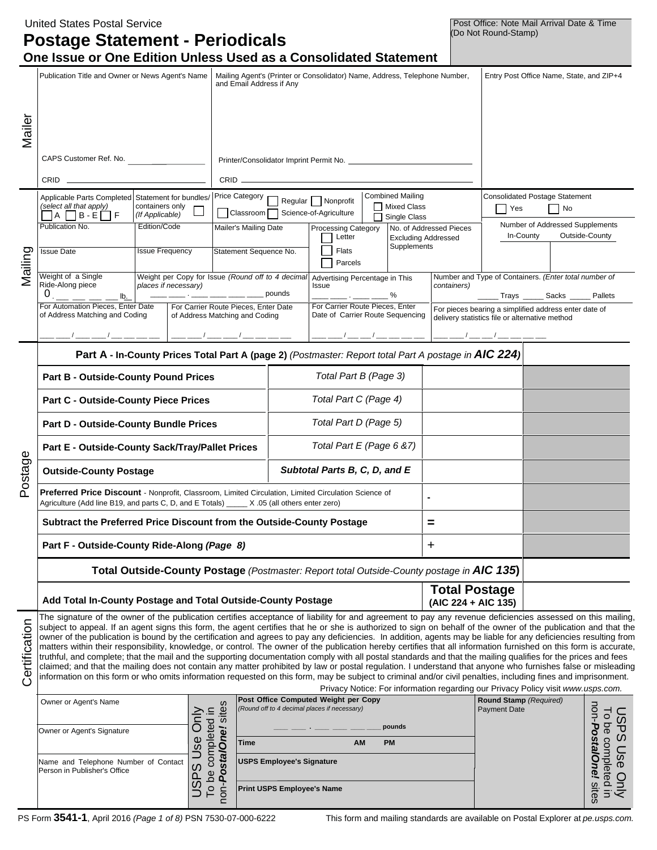|               | <b>United States Postal Service</b><br><b>Postage Statement - Periodicals</b><br>One Issue or One Edition Unless Used as a Consolidated Statement                                                                                                                                                                                                                                                                                                                                                                                                                                                                                                                                                                                                                                                                                                                                                                                                                                                                                                                                                                                                                                                                                                                                                                                                                                                                                                                       |                                                                                                                                                                                                                                                                                                                                                                                                                                                                                                                                                                                                                                                                 |  |                                                                   |                                                                                                                                                                                                                                    |                                                                                                                                                                                                                                                     |  |                     |                                                                                                        | (Do Not Round-Stamp)                           | Post Office: Note Mail Arrival Date & Time                                                                                                             |                                                                                                                      |
|---------------|-------------------------------------------------------------------------------------------------------------------------------------------------------------------------------------------------------------------------------------------------------------------------------------------------------------------------------------------------------------------------------------------------------------------------------------------------------------------------------------------------------------------------------------------------------------------------------------------------------------------------------------------------------------------------------------------------------------------------------------------------------------------------------------------------------------------------------------------------------------------------------------------------------------------------------------------------------------------------------------------------------------------------------------------------------------------------------------------------------------------------------------------------------------------------------------------------------------------------------------------------------------------------------------------------------------------------------------------------------------------------------------------------------------------------------------------------------------------------|-----------------------------------------------------------------------------------------------------------------------------------------------------------------------------------------------------------------------------------------------------------------------------------------------------------------------------------------------------------------------------------------------------------------------------------------------------------------------------------------------------------------------------------------------------------------------------------------------------------------------------------------------------------------|--|-------------------------------------------------------------------|------------------------------------------------------------------------------------------------------------------------------------------------------------------------------------------------------------------------------------|-----------------------------------------------------------------------------------------------------------------------------------------------------------------------------------------------------------------------------------------------------|--|---------------------|--------------------------------------------------------------------------------------------------------|------------------------------------------------|--------------------------------------------------------------------------------------------------------------------------------------------------------|----------------------------------------------------------------------------------------------------------------------|
| Mailer        | Publication Title and Owner or News Agent's Name<br>CAPS Customer Ref. No.<br>CRID                                                                                                                                                                                                                                                                                                                                                                                                                                                                                                                                                                                                                                                                                                                                                                                                                                                                                                                                                                                                                                                                                                                                                                                                                                                                                                                                                                                      |                                                                                                                                                                                                                                                                                                                                                                                                                                                                                                                                                                                                                                                                 |  | and Email Address if Any                                          |                                                                                                                                                                                                                                    | Mailing Agent's (Printer or Consolidator) Name, Address, Telephone Number,                                                                                                                                                                          |  |                     |                                                                                                        |                                                | Entry Post Office Name, State, and ZIP+4                                                                                                               |                                                                                                                      |
| Mailing       | Applicable Parts Completed Statement for bundles/<br>(select all that apply)<br>containers only<br>$\Box$ a $\Box$ b-e $\Box$ f<br>(If Applicable)<br>Publication No.<br>Edition/Code<br><b>Issue Frequency</b><br><b>Issue Date</b>                                                                                                                                                                                                                                                                                                                                                                                                                                                                                                                                                                                                                                                                                                                                                                                                                                                                                                                                                                                                                                                                                                                                                                                                                                    |                                                                                                                                                                                                                                                                                                                                                                                                                                                                                                                                                                                                                                                                 |  | Price Category<br>Mailer's Mailing Date<br>Statement Sequence No. |                                                                                                                                                                                                                                    | <b>Combined Mailing</b><br>Regular Nonprofit<br>Mixed Class<br>Classroom Science-of-Agriculture<br>Single Class<br><b>Processing Category</b><br>No. of Addressed Pieces<br>Letter<br><b>Excluding Addressed</b><br>Supplements<br>Flats<br>Parcels |  | <b>Yes</b>          | Consolidated Postage Statement<br>No<br>Number of Addressed Supplements<br>Outside-County<br>In-County |                                                |                                                                                                                                                        |                                                                                                                      |
|               | Weight of a Single<br>Weight per Copy for Issue (Round off to 4 decimal)<br>Ride-Along piece<br>places if necessary)<br>0<br>$\overline{\phantom{a}}$ $\overline{\phantom{a}}$ $\overline{\phantom{a}}$ $\overline{\phantom{a}}$ $\overline{\phantom{a}}$ $\overline{\phantom{a}}$ $\overline{\phantom{a}}$ $\overline{\phantom{a}}$ $\overline{\phantom{a}}$ $\overline{\phantom{a}}$ $\overline{\phantom{a}}$ $\overline{\phantom{a}}$ $\overline{\phantom{a}}$ $\overline{\phantom{a}}$ $\overline{\phantom{a}}$ $\overline{\phantom{a}}$ $\overline{\phantom{a}}$ $\overline{\phantom{a}}$ $\overline{\$<br>For Automation Pieces, Enter Date<br>For Carrier Route Pieces, Enter Date<br>of Address Matching and Coding<br>of Address Matching and Coding<br>_ ____ / ____ ____ / ___ ___ ___ ___                                                                                                                                                                                                                                                                                                                                                                                                                                                                                                                                                                                                                                                                   |                                                                                                                                                                                                                                                                                                                                                                                                                                                                                                                                                                                                                                                                 |  |                                                                   | pounds                                                                                                                                                                                                                             | Advertising Percentage in This<br>Issue<br>For Carrier Route Pieces, Enter<br>Date of Carrier Route Sequencing                                                                                                                                      |  | %                   | containers)                                                                                            | delivery statistics file or alternative method | Number and Type of Containers. (Enter total number of<br>Trays ________ Sacks _______ Pallets<br>For pieces bearing a simplified address enter date of |                                                                                                                      |
| Postage       |                                                                                                                                                                                                                                                                                                                                                                                                                                                                                                                                                                                                                                                                                                                                                                                                                                                                                                                                                                                                                                                                                                                                                                                                                                                                                                                                                                                                                                                                         | Part A - In-County Prices Total Part A (page 2) (Postmaster: Report total Part A postage in AIC 224)<br><b>Part B - Outside-County Pound Prices</b><br><b>Part C - Outside-County Piece Prices</b><br><b>Part D - Outside-County Bundle Prices</b><br>Part E - Outside-County Sack/Tray/Pallet Prices<br><b>Outside-County Postage</b><br>Preferred Price Discount - Nonprofit, Classroom, Limited Circulation, Limited Circulation Science of<br>Agriculture (Add line B19, and parts C, D, and E Totals) X.05 (all others enter zero)<br>Subtract the Preferred Price Discount from the Outside-County Postage<br>Part F - Outside-County Ride-Along (Page 8) |  |                                                                   | Total Part B (Page 3)<br>Total Part C (Page 4)<br>Total Part D (Page 5)<br>Total Part E (Page 6 & 7)<br>Subtotal Parts B, C, D, and E<br>Total Outside-County Postage (Postmaster: Report total Outside-County postage in AIC 135) |                                                                                                                                                                                                                                                     |  |                     | Ξ<br>$\ddot{}$<br><b>Total Postage</b><br>(AIC 224 + AIC 135)                                          |                                                |                                                                                                                                                        |                                                                                                                      |
| Certification | Add Total In-County Postage and Total Outside-County Postage<br>The signature of the owner of the publication certifies acceptance of liability for and agreement to pay any revenue deficiencies assessed on this mailing,<br>subject to appeal. If an agent signs this form, the agent certifies that he or she is authorized to sign on behalf of the owner of the publication and that the<br>owner of the publication is bound by the certification and agrees to pay any deficiencies. In addition, agents may be liable for any deficiencies resulting from<br>matters within their responsibility, knowledge, or control. The owner of the publication hereby certifies that all information furnished on this form is accurate,<br>truthful, and complete; that the mail and the supporting documentation comply with all postal standards and that the mailing qualifies for the prices and fees<br>claimed; and that the mailing does not contain any matter prohibited by law or postal regulation. I understand that anyone who furnishes false or misleading<br>information on this form or who omits information requested on this form, may be subject to criminal and/or civil penalties, including fines and imprisonment.<br>Owner or Agent's Name<br>non- <b>PostalOne!</b> sites<br>To be completed in<br>Only<br>Owner or Agent's Signature<br>Use<br>Time<br>Name and Telephone Number of Contact<br><b>USPS</b><br>Person in Publisher's Office |                                                                                                                                                                                                                                                                                                                                                                                                                                                                                                                                                                                                                                                                 |  |                                                                   | <b>USPS Employee's Signature</b><br>Print USPS Employee's Name                                                                                                                                                                     | Post Office Computed Weight per Copy<br>(Round off to 4 decimal places if necessary)<br>ΑM                                                                                                                                                          |  | pounds<br><b>PM</b> |                                                                                                        | Round Stamp (Required)<br><b>Payment Date</b>  | Privacy Notice: For information regarding our Privacy Policy visit www.usps.com.                                                                       | non- <b>PostalOne!</b> sites<br>$\overline{c}$<br>$\boldsymbol{\omega}$<br>be completed in<br>᠊ᠣ<br>S<br>Use<br>Only |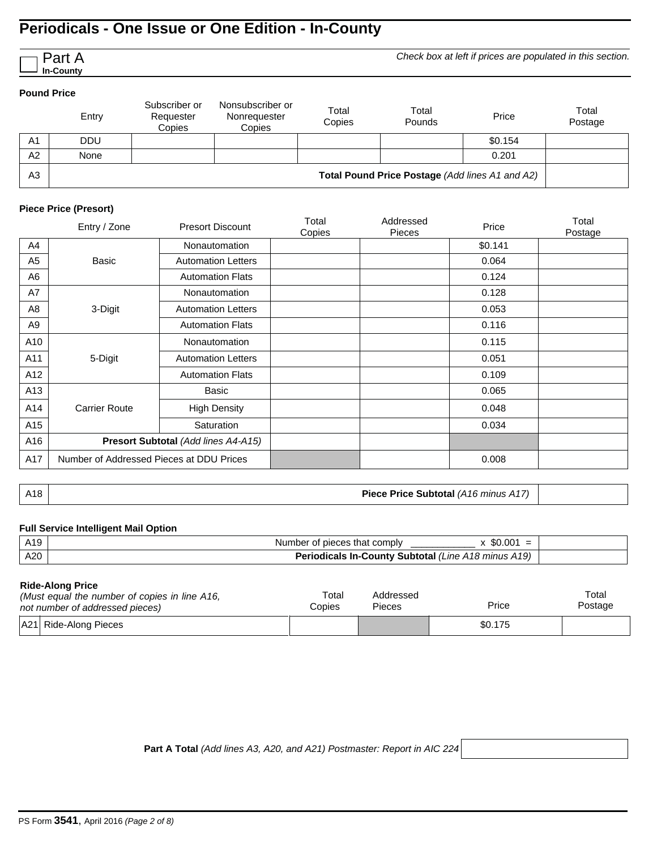*Check box at left if prices are populated in this section.*

#### **Pound Price**

Part A **In-County**

|                | Entry                                           | Subscriber or<br>Requester<br>Copies | Nonsubscriber or<br>Nonrequester<br>Copies | Total<br>Copies | Total<br>Pounds | Price   | Total<br>Postage |
|----------------|-------------------------------------------------|--------------------------------------|--------------------------------------------|-----------------|-----------------|---------|------------------|
| A <sub>1</sub> | <b>DDU</b>                                      |                                      |                                            |                 |                 | \$0.154 |                  |
| A2             | None                                            |                                      |                                            |                 |                 | 0.201   |                  |
| A <sub>3</sub> | Total Pound Price Postage (Add lines A1 and A2) |                                      |                                            |                 |                 |         |                  |

#### **Piece Price (Presort)**

|                | Entry / Zone                             | <b>Presort Discount</b>   | Total<br>Copies | Addressed<br><b>Pieces</b> | Price   | Total<br>Postage |
|----------------|------------------------------------------|---------------------------|-----------------|----------------------------|---------|------------------|
| A4             |                                          | <b>Nonautomation</b>      |                 |                            | \$0.141 |                  |
| A <sub>5</sub> | <b>Basic</b>                             | <b>Automation Letters</b> |                 |                            | 0.064   |                  |
| A6             |                                          | <b>Automation Flats</b>   |                 |                            | 0.124   |                  |
| A7             |                                          | Nonautomation             |                 |                            | 0.128   |                  |
| A8             | 3-Digit                                  | <b>Automation Letters</b> |                 |                            | 0.053   |                  |
| A9             |                                          | <b>Automation Flats</b>   |                 |                            | 0.116   |                  |
| A10            |                                          | <b>Nonautomation</b>      |                 |                            | 0.115   |                  |
| A11            | 5-Digit                                  | <b>Automation Letters</b> |                 |                            | 0.051   |                  |
| A12            |                                          | <b>Automation Flats</b>   |                 |                            | 0.109   |                  |
| A13            |                                          | Basic                     |                 |                            | 0.065   |                  |
| A14            | <b>Carrier Route</b>                     | <b>High Density</b>       |                 |                            | 0.048   |                  |
| A15            |                                          | Saturation                |                 |                            | 0.034   |                  |
| A16            | Presort Subtotal (Add lines A4-A15)      |                           |                 |                            |         |                  |
| A17            | Number of Addressed Pieces at DDU Prices |                           |                 |                            | 0.008   |                  |

A18 **Piece Price Subtotal** *(A16 minus A17)*

### **Full Service Intelligent Mail Option**

| A19 | .00 <sup>1</sup><br>pieces that comply<br>Number<br>æυ<br>--    |  |
|-----|-----------------------------------------------------------------|--|
| A20 | A19'<br>iodicals In-Countv Subtotal<br>(Line A18 minus<br>Doria |  |

#### **Ride-Along Price**

| (Must equal the number of copies in line A16, | Total  | Addressed | Price   | Total   |
|-----------------------------------------------|--------|-----------|---------|---------|
| not number of addressed pieces)               | Copies | Pieces    |         | Postage |
| A21 Ride-Along Pieces                         |        |           | \$0.175 |         |

**Part A Total** *(Add lines A3, A20, and A21) Postmaster: Report in AIC 224*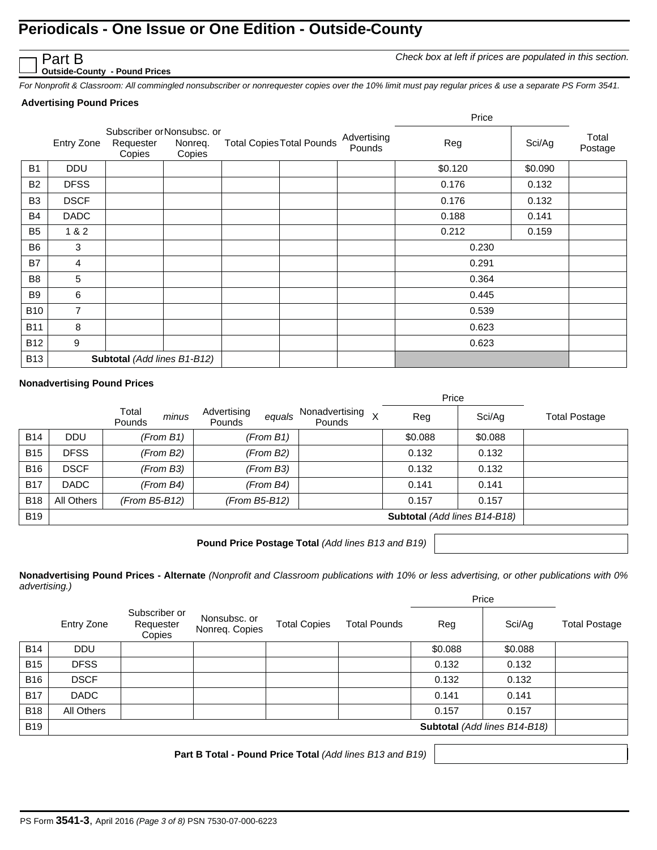*Check box at left if prices are populated in this section.*

**Outside-County - Pound Prices**

*For Nonprofit & Classroom: All commingled nonsubscriber or nonrequester copies over the 10% limit must pay regular prices & use a separate PS Form 3541.*

#### **Advertising Pound Prices**

Part B

|                |                |                                                   |                   |                                  |                       | Price   |         |                  |
|----------------|----------------|---------------------------------------------------|-------------------|----------------------------------|-----------------------|---------|---------|------------------|
|                | Entry Zone     | Subscriber or Nonsubsc. or<br>Requester<br>Copies | Nonreg.<br>Copies | <b>Total Copies Total Pounds</b> | Advertising<br>Pounds | Reg     | Sci/Ag  | Total<br>Postage |
| B <sub>1</sub> | <b>DDU</b>     |                                                   |                   |                                  |                       | \$0.120 | \$0.090 |                  |
| <b>B2</b>      | <b>DFSS</b>    |                                                   |                   |                                  |                       | 0.176   | 0.132   |                  |
| B <sub>3</sub> | <b>DSCF</b>    |                                                   |                   |                                  |                       | 0.176   | 0.132   |                  |
| <b>B4</b>      | <b>DADC</b>    |                                                   |                   |                                  |                       | 0.188   | 0.141   |                  |
| B <sub>5</sub> | 1 & 2          |                                                   |                   |                                  |                       | 0.212   | 0.159   |                  |
| B <sub>6</sub> | 3              |                                                   |                   |                                  |                       | 0.230   |         |                  |
| <b>B7</b>      | 4              |                                                   |                   |                                  |                       | 0.291   |         |                  |
| B <sub>8</sub> | 5              |                                                   |                   |                                  |                       | 0.364   |         |                  |
| B9             | 6              |                                                   |                   |                                  |                       | 0.445   |         |                  |
| <b>B10</b>     | $\overline{7}$ |                                                   |                   |                                  |                       | 0.539   |         |                  |
| <b>B11</b>     | 8              |                                                   |                   |                                  |                       | 0.623   |         |                  |
| <b>B12</b>     | 9              |                                                   |                   |                                  |                       | 0.623   |         |                  |
| <b>B13</b>     |                | Subtotal (Add lines B1-B12)                       |                   |                                  |                       |         |         |                  |

#### **Nonadvertising Pound Prices**

|            |             |                          |                                 |                               | Price                               |         |                      |
|------------|-------------|--------------------------|---------------------------------|-------------------------------|-------------------------------------|---------|----------------------|
|            |             | Total<br>minus<br>Pounds | Advertising<br>equals<br>Pounds | Nonadvertising<br>X<br>Pounds | Reg                                 | Sci/Aq  | <b>Total Postage</b> |
| <b>B14</b> | <b>DDU</b>  | (From B1)                | (From B1)                       |                               | \$0.088                             | \$0.088 |                      |
| <b>B15</b> | <b>DFSS</b> | (From B2)                | (From B2)                       |                               | 0.132                               | 0.132   |                      |
| <b>B16</b> | <b>DSCF</b> | (From B3)                | (From B3)                       |                               | 0.132                               | 0.132   |                      |
| <b>B17</b> | <b>DADC</b> | (From B4)                | (From B4)                       |                               | 0.141                               | 0.141   |                      |
| <b>B18</b> | All Others  | (From B5-B12)            | $(FromB5-B12)$                  |                               | 0.157                               | 0.157   |                      |
| <b>B19</b> |             |                          |                                 |                               | <b>Subtotal</b> (Add lines B14-B18) |         |                      |

**Pound Price Postage Total** *(Add lines B13 and B19)*

**Nonadvertising Pound Prices - Alternate** *(Nonprofit and Classroom publications with 10% or less advertising, or other publications with 0% advertising.)*

|            |                              |                                      |                                |                     |                     | Price   |         |                      |
|------------|------------------------------|--------------------------------------|--------------------------------|---------------------|---------------------|---------|---------|----------------------|
|            | Entry Zone                   | Subscriber or<br>Requester<br>Copies | Nonsubsc. or<br>Nonreq. Copies | <b>Total Copies</b> | <b>Total Pounds</b> | Reg     | Sci/Ag  | <b>Total Postage</b> |
| <b>B14</b> | <b>DDU</b>                   |                                      |                                |                     |                     | \$0.088 | \$0.088 |                      |
| <b>B15</b> | <b>DFSS</b>                  |                                      |                                |                     |                     | 0.132   | 0.132   |                      |
| <b>B16</b> | <b>DSCF</b>                  |                                      |                                |                     |                     | 0.132   | 0.132   |                      |
| <b>B17</b> | <b>DADC</b>                  |                                      |                                |                     |                     | 0.141   | 0.141   |                      |
| <b>B18</b> | All Others                   |                                      |                                |                     |                     | 0.157   | 0.157   |                      |
| <b>B19</b> | Subtotal (Add lines B14-B18) |                                      |                                |                     |                     |         |         |                      |

**Part B Total - Pound Price Total** *(Add lines B13 and B19)*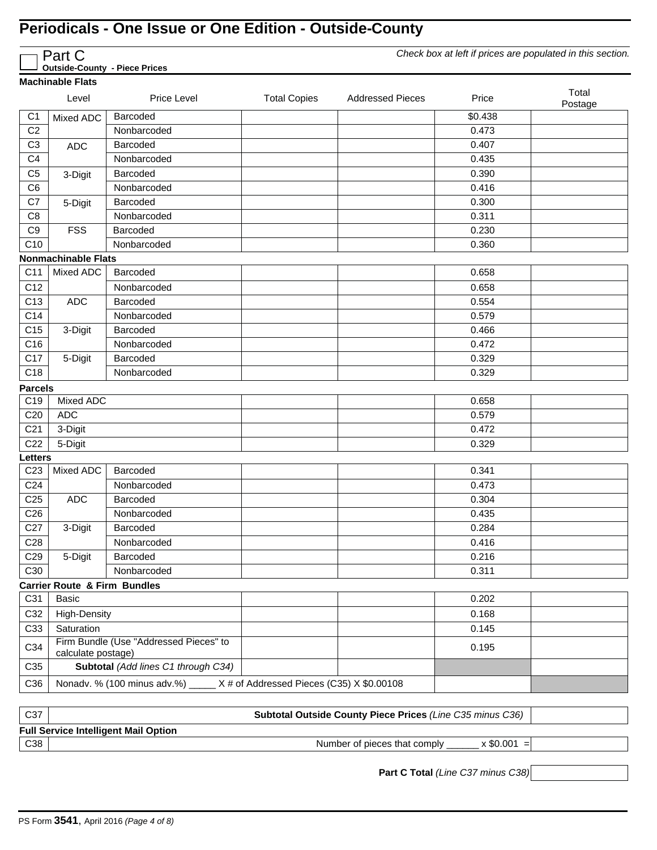|                 | Check box at left if prices are populated in this section.<br>Part C<br><b>Outside-County - Piece Prices</b> |                                                                             |                     |                         |         |                  |  |  |
|-----------------|--------------------------------------------------------------------------------------------------------------|-----------------------------------------------------------------------------|---------------------|-------------------------|---------|------------------|--|--|
|                 | <b>Machinable Flats</b>                                                                                      |                                                                             |                     |                         |         |                  |  |  |
|                 | Level                                                                                                        | Price Level                                                                 | <b>Total Copies</b> | <b>Addressed Pieces</b> | Price   | Total<br>Postage |  |  |
| C <sub>1</sub>  | Mixed ADC                                                                                                    | Barcoded                                                                    |                     |                         | \$0.438 |                  |  |  |
| C <sub>2</sub>  |                                                                                                              | Nonbarcoded                                                                 |                     |                         | 0.473   |                  |  |  |
| C <sub>3</sub>  | <b>ADC</b>                                                                                                   | Barcoded                                                                    |                     |                         | 0.407   |                  |  |  |
| C <sub>4</sub>  |                                                                                                              | Nonbarcoded                                                                 |                     |                         | 0.435   |                  |  |  |
| C <sub>5</sub>  | 3-Digit                                                                                                      | Barcoded                                                                    |                     |                         | 0.390   |                  |  |  |
| C <sub>6</sub>  |                                                                                                              | Nonbarcoded                                                                 |                     |                         | 0.416   |                  |  |  |
| C7              | 5-Digit                                                                                                      | Barcoded                                                                    |                     |                         | 0.300   |                  |  |  |
| C <sub>8</sub>  |                                                                                                              | Nonbarcoded                                                                 |                     |                         | 0.311   |                  |  |  |
| C <sub>9</sub>  | <b>FSS</b>                                                                                                   | Barcoded                                                                    |                     |                         | 0.230   |                  |  |  |
| C10             |                                                                                                              | Nonbarcoded                                                                 |                     |                         | 0.360   |                  |  |  |
|                 | <b>Nonmachinable Flats</b>                                                                                   |                                                                             |                     |                         |         |                  |  |  |
| C <sub>11</sub> | Mixed ADC                                                                                                    | Barcoded                                                                    |                     |                         | 0.658   |                  |  |  |
| C12             |                                                                                                              | Nonbarcoded                                                                 |                     |                         | 0.658   |                  |  |  |
| C <sub>13</sub> | <b>ADC</b>                                                                                                   | Barcoded                                                                    |                     |                         | 0.554   |                  |  |  |
| C14             |                                                                                                              | Nonbarcoded                                                                 |                     |                         | 0.579   |                  |  |  |
| C15             | 3-Digit                                                                                                      | Barcoded                                                                    |                     |                         | 0.466   |                  |  |  |
| C16             |                                                                                                              | Nonbarcoded                                                                 |                     |                         | 0.472   |                  |  |  |
| C17             | 5-Digit                                                                                                      | Barcoded                                                                    |                     |                         | 0.329   |                  |  |  |
| C18             |                                                                                                              | Nonbarcoded                                                                 |                     |                         | 0.329   |                  |  |  |
| <b>Parcels</b>  |                                                                                                              |                                                                             |                     |                         |         |                  |  |  |
| C <sub>19</sub> | Mixed ADC                                                                                                    |                                                                             |                     |                         | 0.658   |                  |  |  |
| C <sub>20</sub> | <b>ADC</b>                                                                                                   |                                                                             |                     |                         | 0.579   |                  |  |  |
| C <sub>21</sub> | 3-Digit                                                                                                      |                                                                             |                     |                         | 0.472   |                  |  |  |
| C <sub>22</sub> | 5-Digit                                                                                                      |                                                                             |                     |                         | 0.329   |                  |  |  |
| Letters         |                                                                                                              |                                                                             |                     |                         |         |                  |  |  |
| C <sub>23</sub> | Mixed ADC                                                                                                    | Barcoded                                                                    |                     |                         | 0.341   |                  |  |  |
| C <sub>24</sub> |                                                                                                              | Nonbarcoded                                                                 |                     |                         | 0.473   |                  |  |  |
| C <sub>25</sub> | <b>ADC</b>                                                                                                   | Barcoded                                                                    |                     |                         | 0.304   |                  |  |  |
| C <sub>26</sub> |                                                                                                              | Nonbarcoded                                                                 |                     |                         | 0.435   |                  |  |  |
| C27             | 3-Digit                                                                                                      | Barcoded                                                                    |                     |                         | 0.284   |                  |  |  |
| C <sub>28</sub> |                                                                                                              | Nonbarcoded                                                                 |                     |                         | 0.416   |                  |  |  |
| C <sub>29</sub> | 5-Digit                                                                                                      | Barcoded                                                                    |                     |                         | 0.216   |                  |  |  |
| C30             |                                                                                                              | Nonbarcoded                                                                 |                     |                         | 0.311   |                  |  |  |
|                 | <b>Carrier Route &amp; Firm Bundles</b>                                                                      |                                                                             |                     |                         |         |                  |  |  |
| C31             | <b>Basic</b>                                                                                                 |                                                                             |                     |                         | 0.202   |                  |  |  |
| C32             | <b>High-Density</b>                                                                                          |                                                                             |                     |                         | 0.168   |                  |  |  |
| C33             | Saturation<br>0.145                                                                                          |                                                                             |                     |                         |         |                  |  |  |
| C34             | calculate postage)                                                                                           | Firm Bundle (Use "Addressed Pieces" to                                      |                     |                         | 0.195   |                  |  |  |
| C35             |                                                                                                              | Subtotal (Add lines C1 through C34)                                         |                     |                         |         |                  |  |  |
| C36             |                                                                                                              | Nonadv. % (100 minus adv.%) _____ X # of Addressed Pieces (C35) X \$0.00108 |                     |                         |         |                  |  |  |
|                 |                                                                                                              |                                                                             |                     |                         |         |                  |  |  |

| C <sub>37</sub> | <b>Subtotal Outside County Piece Prices (Line C35 minus C36)</b> |               |  |  |  |  |  |  |
|-----------------|------------------------------------------------------------------|---------------|--|--|--|--|--|--|
|                 | <b>Full Service Intelligent Mail Option</b>                      |               |  |  |  |  |  |  |
| C38             | Number of pieces that comply                                     | $x \$0.001 =$ |  |  |  |  |  |  |

**Part C Total** *(Line C37 minus C38)*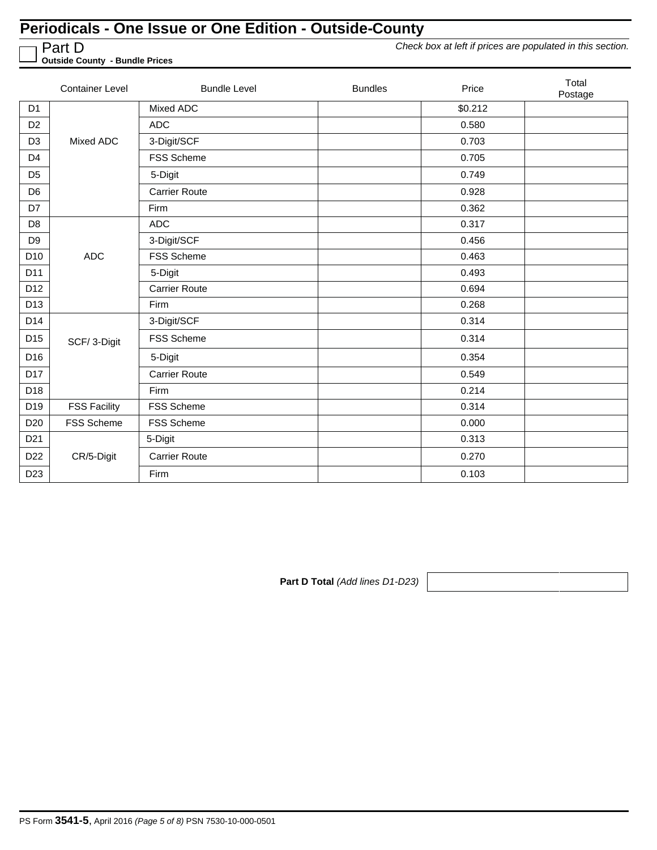*Check box at left if prices are populated in this section.*

Part D **Outside County - Bundle Prices**

|                 | <b>Container Level</b> | <b>Bundle Level</b>  | <b>Bundles</b> | Price   | Total<br>Postage |
|-----------------|------------------------|----------------------|----------------|---------|------------------|
| D <sub>1</sub>  |                        | Mixed ADC            |                | \$0.212 |                  |
| D <sub>2</sub>  |                        | <b>ADC</b>           |                | 0.580   |                  |
| D <sub>3</sub>  | Mixed ADC              | 3-Digit/SCF          |                | 0.703   |                  |
| D <sub>4</sub>  |                        | <b>FSS Scheme</b>    |                | 0.705   |                  |
| D <sub>5</sub>  |                        | 5-Digit              |                | 0.749   |                  |
| D <sub>6</sub>  |                        | <b>Carrier Route</b> |                | 0.928   |                  |
| D7              |                        | Firm                 |                | 0.362   |                  |
| D <sub>8</sub>  |                        | <b>ADC</b>           |                | 0.317   |                  |
| D <sub>9</sub>  |                        | 3-Digit/SCF          |                | 0.456   |                  |
| D <sub>10</sub> | <b>ADC</b>             | FSS Scheme           |                | 0.463   |                  |
| D11             |                        | 5-Digit              |                | 0.493   |                  |
| D12             |                        | <b>Carrier Route</b> |                | 0.694   |                  |
| D13             |                        | Firm                 |                | 0.268   |                  |
| D14             |                        | 3-Digit/SCF          |                | 0.314   |                  |
| D <sub>15</sub> | SCF/3-Digit            | <b>FSS Scheme</b>    |                | 0.314   |                  |
| D <sub>16</sub> |                        | 5-Digit              |                | 0.354   |                  |
| D17             |                        | <b>Carrier Route</b> |                | 0.549   |                  |
| D18             |                        | Firm                 |                | 0.214   |                  |
| D <sub>19</sub> | <b>FSS Facility</b>    | <b>FSS Scheme</b>    |                | 0.314   |                  |
| D <sub>20</sub> | <b>FSS Scheme</b>      | <b>FSS Scheme</b>    |                | 0.000   |                  |
| D <sub>21</sub> |                        | 5-Digit              |                | 0.313   |                  |
| D <sub>22</sub> | CR/5-Digit             | <b>Carrier Route</b> |                | 0.270   |                  |
| D <sub>23</sub> |                        | Firm                 |                | 0.103   |                  |

**Part D Total** *(Add lines D1-D23)*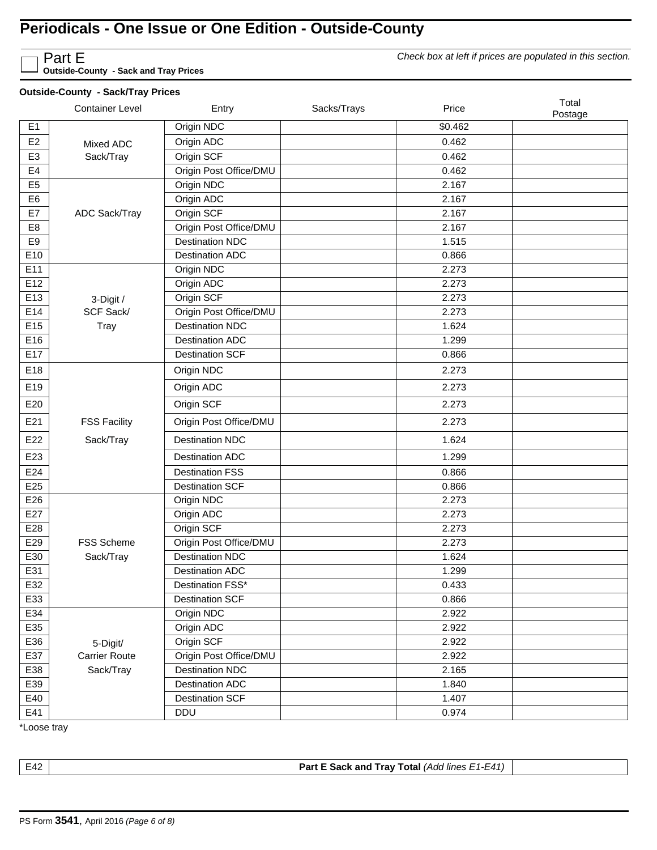*Check box at left if prices are populated in this section.*

**Outside-County - Sack and Tray Prices**

### **Outside-County - Sack/Tray Prices**

Part E

|                 | <b>Container Level</b> | Entry                  | Sacks/Trays | Price   | Total<br>Postage |
|-----------------|------------------------|------------------------|-------------|---------|------------------|
| E <sub>1</sub>  |                        | Origin NDC             |             | \$0.462 |                  |
| E <sub>2</sub>  | Mixed ADC              | Origin ADC             |             | 0.462   |                  |
| E <sub>3</sub>  | Sack/Tray              | Origin SCF             |             | 0.462   |                  |
| E4              |                        | Origin Post Office/DMU |             | 0.462   |                  |
| E <sub>5</sub>  |                        | Origin NDC             |             | 2.167   |                  |
| E <sub>6</sub>  |                        | Origin ADC             |             | 2.167   |                  |
| E7              | ADC Sack/Tray          | Origin SCF             |             | 2.167   |                  |
| E <sub>8</sub>  |                        | Origin Post Office/DMU |             | 2.167   |                  |
| E9              |                        | <b>Destination NDC</b> |             | 1.515   |                  |
| E10             |                        | <b>Destination ADC</b> |             | 0.866   |                  |
| E11             |                        | Origin NDC             |             | 2.273   |                  |
| E12             |                        | Origin ADC             |             | 2.273   |                  |
| E13             | 3-Digit /              | Origin SCF             |             | 2.273   |                  |
| E14             | SCF Sack/              | Origin Post Office/DMU |             | 2.273   |                  |
| E15             | Tray                   | <b>Destination NDC</b> |             | 1.624   |                  |
| E16             |                        | <b>Destination ADC</b> |             | 1.299   |                  |
| E17             |                        | <b>Destination SCF</b> |             | 0.866   |                  |
| E18             |                        | Origin NDC             |             | 2.273   |                  |
| E19             |                        | Origin ADC             |             | 2.273   |                  |
| E20             |                        | Origin SCF             |             | 2.273   |                  |
| E21             | <b>FSS Facility</b>    | Origin Post Office/DMU |             | 2.273   |                  |
| E22             | Sack/Tray              | <b>Destination NDC</b> |             | 1.624   |                  |
| E23             |                        | <b>Destination ADC</b> |             | 1.299   |                  |
| E24             |                        | <b>Destination FSS</b> |             | 0.866   |                  |
| E <sub>25</sub> |                        | <b>Destination SCF</b> |             | 0.866   |                  |
| E26             |                        | Origin NDC             |             | 2.273   |                  |
| E27             |                        | Origin ADC             |             | 2.273   |                  |
| E28             |                        | Origin SCF             |             | 2.273   |                  |
| E29             | <b>FSS Scheme</b>      | Origin Post Office/DMU |             | 2.273   |                  |
| E30             | Sack/Tray              | <b>Destination NDC</b> |             | 1.624   |                  |
| E31             |                        | <b>Destination ADC</b> |             | 1.299   |                  |
| E32             |                        | Destination FSS*       |             | 0.433   |                  |
| E33             |                        | <b>Destination SCF</b> |             | 0.866   |                  |
| E34             |                        | Origin NDC             |             | 2.922   |                  |
| E35             |                        | Origin ADC             |             | 2.922   |                  |
| E36             | 5-Digit/               | Origin SCF             |             | 2.922   |                  |
| E37             | <b>Carrier Route</b>   | Origin Post Office/DMU |             | 2.922   |                  |
| E38             | Sack/Tray              | <b>Destination NDC</b> |             | 2.165   |                  |
| E39             |                        | <b>Destination ADC</b> |             | 1.840   |                  |
| E40             |                        | <b>Destination SCF</b> |             | 1.407   |                  |
| E41             |                        | DDU                    |             | 0.974   |                  |

\*Loose tray

**Part E Sack and Tray Total (Add lines E1-E41) Part E Sack and Tray Total (Add lines E1-E41)**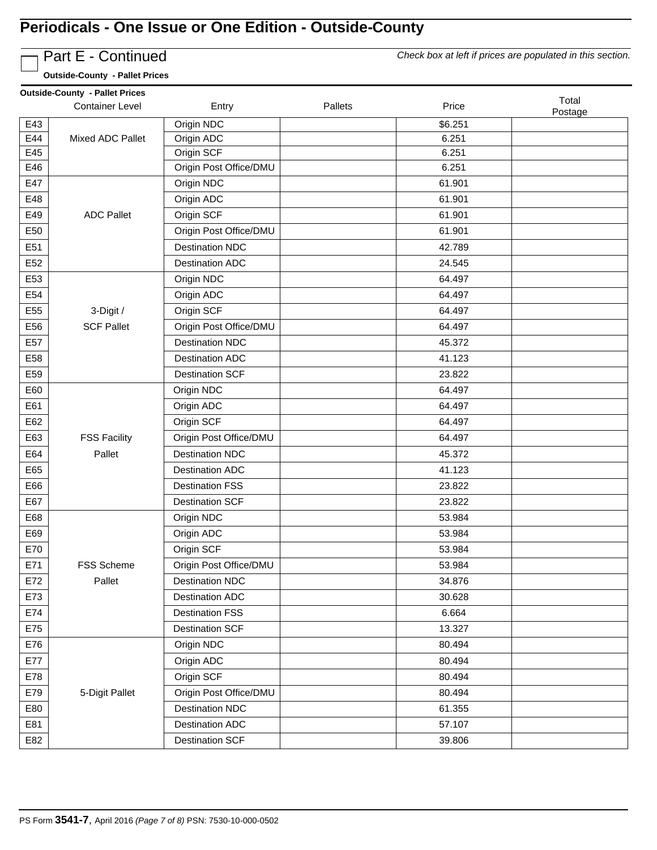

Part E - Continued

*Check box at left if prices are populated in this section.*

**Outside-County - Pallet Prices**

| Pallets<br>Price<br><b>Container Level</b><br>Entry<br>Postage<br>E43<br>Origin NDC<br>\$6.251<br>E44<br>Origin ADC<br>6.251<br>Mixed ADC Pallet<br>E45<br>Origin SCF<br>6.251<br>E46<br>Origin Post Office/DMU<br>6.251<br>E47<br>Origin NDC<br>61.901<br>E48<br>Origin ADC<br>61.901<br>E49<br><b>ADC Pallet</b><br>Origin SCF<br>61.901<br>E50<br>Origin Post Office/DMU<br>61.901<br>E51<br><b>Destination NDC</b><br>42.789<br>E <sub>52</sub><br><b>Destination ADC</b><br>24.545<br>E53<br>Origin NDC<br>64.497<br>E54<br>Origin ADC<br>64.497<br>E55<br>Origin SCF<br>3-Digit /<br>64.497<br>E56<br><b>SCF Pallet</b><br>Origin Post Office/DMU<br>64.497<br>E57<br><b>Destination NDC</b><br>45.372<br>E58<br><b>Destination ADC</b><br>41.123<br>E59<br><b>Destination SCF</b><br>23.822<br>E60<br>Origin NDC<br>64.497<br>E61<br>Origin ADC<br>64.497<br>Origin SCF<br>E62<br>64.497<br>Origin Post Office/DMU<br>64.497<br>E63<br><b>FSS Facility</b><br><b>Destination NDC</b><br>E64<br>Pallet<br>45.372<br>E65<br><b>Destination ADC</b><br>41.123<br>E66<br><b>Destination FSS</b><br>23.822<br>E67<br><b>Destination SCF</b><br>23.822<br>E68<br>Origin NDC<br>53.984<br>E69<br>Origin ADC<br>53.984<br>E70<br>Origin SCF<br>53.984<br>E71<br>Origin Post Office/DMU<br><b>FSS Scheme</b><br>53.984<br>E72<br>Pallet<br><b>Destination NDC</b><br>34.876<br>E73<br><b>Destination ADC</b><br>30.628<br>E74<br><b>Destination FSS</b><br>6.664<br>E75<br><b>Destination SCF</b><br>13.327<br>E76<br>Origin NDC<br>80.494<br>Origin ADC<br>E77<br>80.494<br>E78<br>Origin SCF<br>80.494<br>E79<br>Origin Post Office/DMU<br>80.494<br>5-Digit Pallet<br><b>Destination NDC</b><br>E80<br>61.355<br>E81<br><b>Destination ADC</b><br>57.107<br>E82<br><b>Destination SCF</b><br>39.806 | <b>Outside-County - Pallet Prices</b> |  |  |  |  |       |  |  |
|------------------------------------------------------------------------------------------------------------------------------------------------------------------------------------------------------------------------------------------------------------------------------------------------------------------------------------------------------------------------------------------------------------------------------------------------------------------------------------------------------------------------------------------------------------------------------------------------------------------------------------------------------------------------------------------------------------------------------------------------------------------------------------------------------------------------------------------------------------------------------------------------------------------------------------------------------------------------------------------------------------------------------------------------------------------------------------------------------------------------------------------------------------------------------------------------------------------------------------------------------------------------------------------------------------------------------------------------------------------------------------------------------------------------------------------------------------------------------------------------------------------------------------------------------------------------------------------------------------------------------------------------------------------------------------------------------------------------------------------------------------------------------------------------------|---------------------------------------|--|--|--|--|-------|--|--|
|                                                                                                                                                                                                                                                                                                                                                                                                                                                                                                                                                                                                                                                                                                                                                                                                                                                                                                                                                                                                                                                                                                                                                                                                                                                                                                                                                                                                                                                                                                                                                                                                                                                                                                                                                                                                      |                                       |  |  |  |  | Total |  |  |
|                                                                                                                                                                                                                                                                                                                                                                                                                                                                                                                                                                                                                                                                                                                                                                                                                                                                                                                                                                                                                                                                                                                                                                                                                                                                                                                                                                                                                                                                                                                                                                                                                                                                                                                                                                                                      |                                       |  |  |  |  |       |  |  |
|                                                                                                                                                                                                                                                                                                                                                                                                                                                                                                                                                                                                                                                                                                                                                                                                                                                                                                                                                                                                                                                                                                                                                                                                                                                                                                                                                                                                                                                                                                                                                                                                                                                                                                                                                                                                      |                                       |  |  |  |  |       |  |  |
|                                                                                                                                                                                                                                                                                                                                                                                                                                                                                                                                                                                                                                                                                                                                                                                                                                                                                                                                                                                                                                                                                                                                                                                                                                                                                                                                                                                                                                                                                                                                                                                                                                                                                                                                                                                                      |                                       |  |  |  |  |       |  |  |
|                                                                                                                                                                                                                                                                                                                                                                                                                                                                                                                                                                                                                                                                                                                                                                                                                                                                                                                                                                                                                                                                                                                                                                                                                                                                                                                                                                                                                                                                                                                                                                                                                                                                                                                                                                                                      |                                       |  |  |  |  |       |  |  |
|                                                                                                                                                                                                                                                                                                                                                                                                                                                                                                                                                                                                                                                                                                                                                                                                                                                                                                                                                                                                                                                                                                                                                                                                                                                                                                                                                                                                                                                                                                                                                                                                                                                                                                                                                                                                      |                                       |  |  |  |  |       |  |  |
|                                                                                                                                                                                                                                                                                                                                                                                                                                                                                                                                                                                                                                                                                                                                                                                                                                                                                                                                                                                                                                                                                                                                                                                                                                                                                                                                                                                                                                                                                                                                                                                                                                                                                                                                                                                                      |                                       |  |  |  |  |       |  |  |
|                                                                                                                                                                                                                                                                                                                                                                                                                                                                                                                                                                                                                                                                                                                                                                                                                                                                                                                                                                                                                                                                                                                                                                                                                                                                                                                                                                                                                                                                                                                                                                                                                                                                                                                                                                                                      |                                       |  |  |  |  |       |  |  |
|                                                                                                                                                                                                                                                                                                                                                                                                                                                                                                                                                                                                                                                                                                                                                                                                                                                                                                                                                                                                                                                                                                                                                                                                                                                                                                                                                                                                                                                                                                                                                                                                                                                                                                                                                                                                      |                                       |  |  |  |  |       |  |  |
|                                                                                                                                                                                                                                                                                                                                                                                                                                                                                                                                                                                                                                                                                                                                                                                                                                                                                                                                                                                                                                                                                                                                                                                                                                                                                                                                                                                                                                                                                                                                                                                                                                                                                                                                                                                                      |                                       |  |  |  |  |       |  |  |
|                                                                                                                                                                                                                                                                                                                                                                                                                                                                                                                                                                                                                                                                                                                                                                                                                                                                                                                                                                                                                                                                                                                                                                                                                                                                                                                                                                                                                                                                                                                                                                                                                                                                                                                                                                                                      |                                       |  |  |  |  |       |  |  |
|                                                                                                                                                                                                                                                                                                                                                                                                                                                                                                                                                                                                                                                                                                                                                                                                                                                                                                                                                                                                                                                                                                                                                                                                                                                                                                                                                                                                                                                                                                                                                                                                                                                                                                                                                                                                      |                                       |  |  |  |  |       |  |  |
|                                                                                                                                                                                                                                                                                                                                                                                                                                                                                                                                                                                                                                                                                                                                                                                                                                                                                                                                                                                                                                                                                                                                                                                                                                                                                                                                                                                                                                                                                                                                                                                                                                                                                                                                                                                                      |                                       |  |  |  |  |       |  |  |
|                                                                                                                                                                                                                                                                                                                                                                                                                                                                                                                                                                                                                                                                                                                                                                                                                                                                                                                                                                                                                                                                                                                                                                                                                                                                                                                                                                                                                                                                                                                                                                                                                                                                                                                                                                                                      |                                       |  |  |  |  |       |  |  |
|                                                                                                                                                                                                                                                                                                                                                                                                                                                                                                                                                                                                                                                                                                                                                                                                                                                                                                                                                                                                                                                                                                                                                                                                                                                                                                                                                                                                                                                                                                                                                                                                                                                                                                                                                                                                      |                                       |  |  |  |  |       |  |  |
|                                                                                                                                                                                                                                                                                                                                                                                                                                                                                                                                                                                                                                                                                                                                                                                                                                                                                                                                                                                                                                                                                                                                                                                                                                                                                                                                                                                                                                                                                                                                                                                                                                                                                                                                                                                                      |                                       |  |  |  |  |       |  |  |
|                                                                                                                                                                                                                                                                                                                                                                                                                                                                                                                                                                                                                                                                                                                                                                                                                                                                                                                                                                                                                                                                                                                                                                                                                                                                                                                                                                                                                                                                                                                                                                                                                                                                                                                                                                                                      |                                       |  |  |  |  |       |  |  |
|                                                                                                                                                                                                                                                                                                                                                                                                                                                                                                                                                                                                                                                                                                                                                                                                                                                                                                                                                                                                                                                                                                                                                                                                                                                                                                                                                                                                                                                                                                                                                                                                                                                                                                                                                                                                      |                                       |  |  |  |  |       |  |  |
|                                                                                                                                                                                                                                                                                                                                                                                                                                                                                                                                                                                                                                                                                                                                                                                                                                                                                                                                                                                                                                                                                                                                                                                                                                                                                                                                                                                                                                                                                                                                                                                                                                                                                                                                                                                                      |                                       |  |  |  |  |       |  |  |
|                                                                                                                                                                                                                                                                                                                                                                                                                                                                                                                                                                                                                                                                                                                                                                                                                                                                                                                                                                                                                                                                                                                                                                                                                                                                                                                                                                                                                                                                                                                                                                                                                                                                                                                                                                                                      |                                       |  |  |  |  |       |  |  |
|                                                                                                                                                                                                                                                                                                                                                                                                                                                                                                                                                                                                                                                                                                                                                                                                                                                                                                                                                                                                                                                                                                                                                                                                                                                                                                                                                                                                                                                                                                                                                                                                                                                                                                                                                                                                      |                                       |  |  |  |  |       |  |  |
|                                                                                                                                                                                                                                                                                                                                                                                                                                                                                                                                                                                                                                                                                                                                                                                                                                                                                                                                                                                                                                                                                                                                                                                                                                                                                                                                                                                                                                                                                                                                                                                                                                                                                                                                                                                                      |                                       |  |  |  |  |       |  |  |
|                                                                                                                                                                                                                                                                                                                                                                                                                                                                                                                                                                                                                                                                                                                                                                                                                                                                                                                                                                                                                                                                                                                                                                                                                                                                                                                                                                                                                                                                                                                                                                                                                                                                                                                                                                                                      |                                       |  |  |  |  |       |  |  |
|                                                                                                                                                                                                                                                                                                                                                                                                                                                                                                                                                                                                                                                                                                                                                                                                                                                                                                                                                                                                                                                                                                                                                                                                                                                                                                                                                                                                                                                                                                                                                                                                                                                                                                                                                                                                      |                                       |  |  |  |  |       |  |  |
|                                                                                                                                                                                                                                                                                                                                                                                                                                                                                                                                                                                                                                                                                                                                                                                                                                                                                                                                                                                                                                                                                                                                                                                                                                                                                                                                                                                                                                                                                                                                                                                                                                                                                                                                                                                                      |                                       |  |  |  |  |       |  |  |
|                                                                                                                                                                                                                                                                                                                                                                                                                                                                                                                                                                                                                                                                                                                                                                                                                                                                                                                                                                                                                                                                                                                                                                                                                                                                                                                                                                                                                                                                                                                                                                                                                                                                                                                                                                                                      |                                       |  |  |  |  |       |  |  |
|                                                                                                                                                                                                                                                                                                                                                                                                                                                                                                                                                                                                                                                                                                                                                                                                                                                                                                                                                                                                                                                                                                                                                                                                                                                                                                                                                                                                                                                                                                                                                                                                                                                                                                                                                                                                      |                                       |  |  |  |  |       |  |  |
|                                                                                                                                                                                                                                                                                                                                                                                                                                                                                                                                                                                                                                                                                                                                                                                                                                                                                                                                                                                                                                                                                                                                                                                                                                                                                                                                                                                                                                                                                                                                                                                                                                                                                                                                                                                                      |                                       |  |  |  |  |       |  |  |
|                                                                                                                                                                                                                                                                                                                                                                                                                                                                                                                                                                                                                                                                                                                                                                                                                                                                                                                                                                                                                                                                                                                                                                                                                                                                                                                                                                                                                                                                                                                                                                                                                                                                                                                                                                                                      |                                       |  |  |  |  |       |  |  |
|                                                                                                                                                                                                                                                                                                                                                                                                                                                                                                                                                                                                                                                                                                                                                                                                                                                                                                                                                                                                                                                                                                                                                                                                                                                                                                                                                                                                                                                                                                                                                                                                                                                                                                                                                                                                      |                                       |  |  |  |  |       |  |  |
|                                                                                                                                                                                                                                                                                                                                                                                                                                                                                                                                                                                                                                                                                                                                                                                                                                                                                                                                                                                                                                                                                                                                                                                                                                                                                                                                                                                                                                                                                                                                                                                                                                                                                                                                                                                                      |                                       |  |  |  |  |       |  |  |
|                                                                                                                                                                                                                                                                                                                                                                                                                                                                                                                                                                                                                                                                                                                                                                                                                                                                                                                                                                                                                                                                                                                                                                                                                                                                                                                                                                                                                                                                                                                                                                                                                                                                                                                                                                                                      |                                       |  |  |  |  |       |  |  |
|                                                                                                                                                                                                                                                                                                                                                                                                                                                                                                                                                                                                                                                                                                                                                                                                                                                                                                                                                                                                                                                                                                                                                                                                                                                                                                                                                                                                                                                                                                                                                                                                                                                                                                                                                                                                      |                                       |  |  |  |  |       |  |  |
|                                                                                                                                                                                                                                                                                                                                                                                                                                                                                                                                                                                                                                                                                                                                                                                                                                                                                                                                                                                                                                                                                                                                                                                                                                                                                                                                                                                                                                                                                                                                                                                                                                                                                                                                                                                                      |                                       |  |  |  |  |       |  |  |
|                                                                                                                                                                                                                                                                                                                                                                                                                                                                                                                                                                                                                                                                                                                                                                                                                                                                                                                                                                                                                                                                                                                                                                                                                                                                                                                                                                                                                                                                                                                                                                                                                                                                                                                                                                                                      |                                       |  |  |  |  |       |  |  |
|                                                                                                                                                                                                                                                                                                                                                                                                                                                                                                                                                                                                                                                                                                                                                                                                                                                                                                                                                                                                                                                                                                                                                                                                                                                                                                                                                                                                                                                                                                                                                                                                                                                                                                                                                                                                      |                                       |  |  |  |  |       |  |  |
|                                                                                                                                                                                                                                                                                                                                                                                                                                                                                                                                                                                                                                                                                                                                                                                                                                                                                                                                                                                                                                                                                                                                                                                                                                                                                                                                                                                                                                                                                                                                                                                                                                                                                                                                                                                                      |                                       |  |  |  |  |       |  |  |
|                                                                                                                                                                                                                                                                                                                                                                                                                                                                                                                                                                                                                                                                                                                                                                                                                                                                                                                                                                                                                                                                                                                                                                                                                                                                                                                                                                                                                                                                                                                                                                                                                                                                                                                                                                                                      |                                       |  |  |  |  |       |  |  |
|                                                                                                                                                                                                                                                                                                                                                                                                                                                                                                                                                                                                                                                                                                                                                                                                                                                                                                                                                                                                                                                                                                                                                                                                                                                                                                                                                                                                                                                                                                                                                                                                                                                                                                                                                                                                      |                                       |  |  |  |  |       |  |  |
|                                                                                                                                                                                                                                                                                                                                                                                                                                                                                                                                                                                                                                                                                                                                                                                                                                                                                                                                                                                                                                                                                                                                                                                                                                                                                                                                                                                                                                                                                                                                                                                                                                                                                                                                                                                                      |                                       |  |  |  |  |       |  |  |
|                                                                                                                                                                                                                                                                                                                                                                                                                                                                                                                                                                                                                                                                                                                                                                                                                                                                                                                                                                                                                                                                                                                                                                                                                                                                                                                                                                                                                                                                                                                                                                                                                                                                                                                                                                                                      |                                       |  |  |  |  |       |  |  |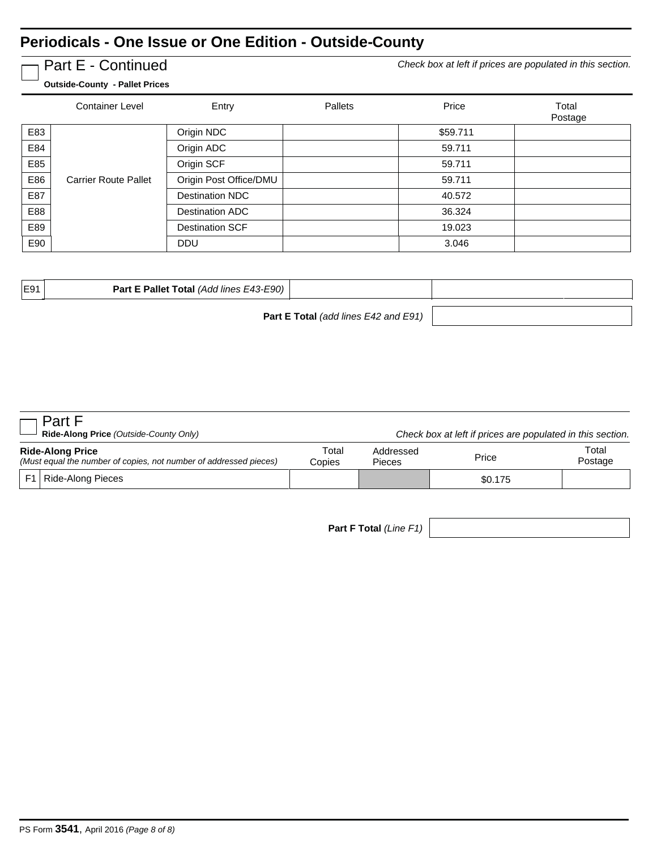Part E - Continued **Check box at left if prices are populated in this section.** 

| Outside-County - Pallet Prices |  |
|--------------------------------|--|
|--------------------------------|--|

|     | <b>Container Level</b>      | Entry                  | Pallets | Price    | Total<br>Postage |
|-----|-----------------------------|------------------------|---------|----------|------------------|
| E83 |                             | Origin NDC             |         | \$59.711 |                  |
| E84 |                             | Origin ADC             |         | 59.711   |                  |
| E85 |                             | Origin SCF             |         | 59.711   |                  |
| E86 | <b>Carrier Route Pallet</b> | Origin Post Office/DMU |         | 59.711   |                  |
| E87 |                             | <b>Destination NDC</b> |         | 40.572   |                  |
| E88 |                             | <b>Destination ADC</b> |         | 36.324   |                  |
| E89 |                             | <b>Destination SCF</b> |         | 19.023   |                  |
| E90 |                             | <b>DDU</b>             |         | 3.046    |                  |

| ∩−י<br>. . | <b>Part E Pallet</b><br>13-F90)<br>$\sim$<br>, lines<br>$\Delta$ dr |  |  |
|------------|---------------------------------------------------------------------|--|--|
|            |                                                                     |  |  |

**Part E Total** *(add lines E42 and E91)*

| Part F<br>Ride-Along Price (Outside-County Only)<br>Check box at left if prices are populated in this section. |                 |                     |         |                  |
|----------------------------------------------------------------------------------------------------------------|-----------------|---------------------|---------|------------------|
| <b>Ride-Along Price</b><br>(Must equal the number of copies, not number of addressed pieces)                   | Total<br>Copies | Addressed<br>Pieces | Price   | Total<br>Postage |
| Ride-Along Pieces<br>F1                                                                                        |                 |                     | \$0.175 |                  |

**Part F Total** *(Line F1)*